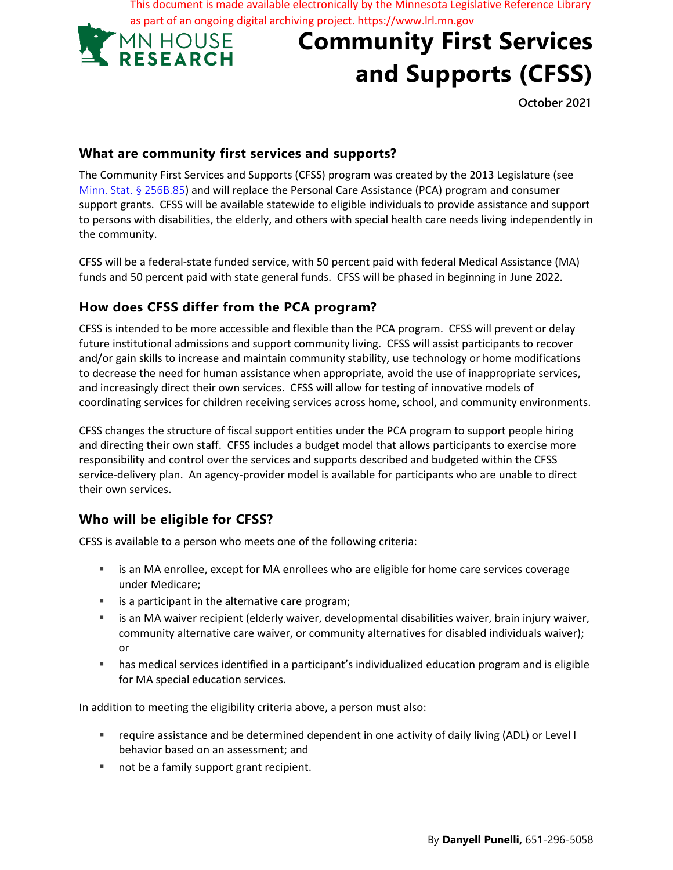This document is made available electronically by the Minnesota Legislative Reference Library as part of an ongoing digital archiving project. https://www.lrl.mn.gov



# **Community First Services and Supports (CFSS)**

 **October 2021** 

#### **What are community first services and supports?**

The Community First Services and Supports (CFSS) program was created by the 2013 Legislature (see Minn. Stat. § 256B.85) and will replace the Personal Care Assistance (PCA) program and consumer support grants. CFSS will be available statewide to eligible individuals to provide assistance and support to persons with disabilities, the elderly, and others with special health care needs living independently in the community.

CFSS will be a federal-state funded service, with 50 percent paid with federal Medical Assistance (MA) funds and 50 percent paid with state general funds. CFSS will be phased in beginning in June 2022.

## **How does CFSS differ from the PCA program?**

CFSS is intended to be more accessible and flexible than the PCA program. CFSS will prevent or delay future institutional admissions and support community living. CFSS will assist participants to recover and/or gain skills to increase and maintain community stability, use technology or home modifications to decrease the need for human assistance when appropriate, avoid the use of inappropriate services, and increasingly direct their own services. CFSS will allow for testing of innovative models of coordinating services for children receiving services across home, school, and community environments.

CFSS changes the structure of fiscal support entities under the PCA program to support people hiring and directing their own staff. CFSS includes a budget model that allows participants to exercise more responsibility and control over the services and supports described and budgeted within the CFSS service-delivery plan. An agency-provider model is available for participants who are unable to direct their own services.

## **Who will be eligible for CFSS?**

CFSS is available to a person who meets one of the following criteria:

- **EXEC** is an MA enrollee, except for MA enrollees who are eligible for home care services coverage under Medicare;
- is a participant in the alternative care program;
- is an MA waiver recipient (elderly waiver, developmental disabilities waiver, brain injury waiver, community alternative care waiver, or community alternatives for disabled individuals waiver); or
- has medical services identified in a participant's individualized education program and is eligible for MA special education services.

In addition to meeting the eligibility criteria above, a person must also:

- require assistance and be determined dependent in one activity of daily living (ADL) or Level I behavior based on an assessment; and
- not be a family support grant recipient.